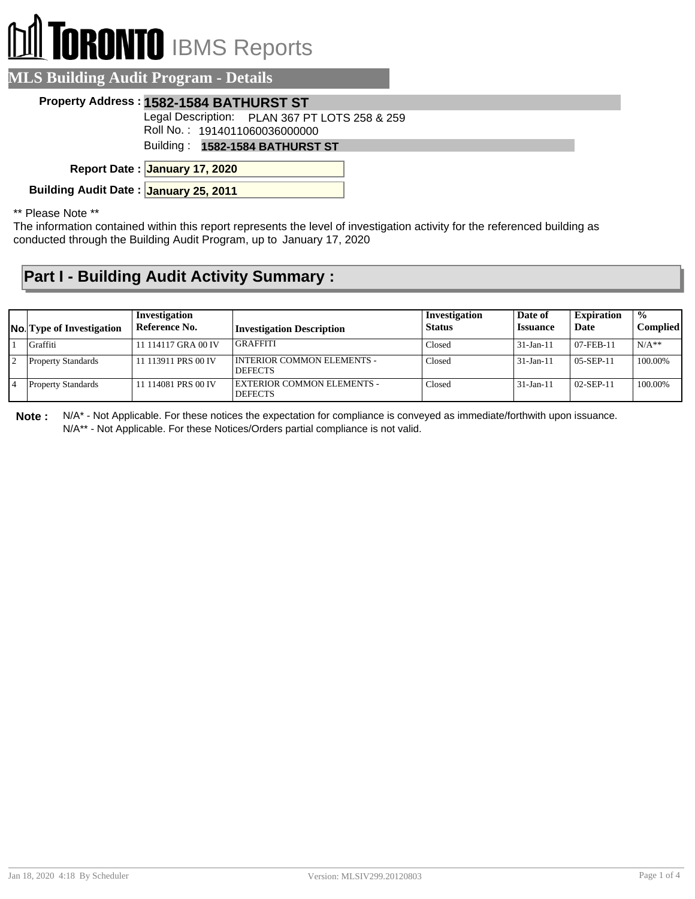## **I TORONTO** IBMS Reports  $\mathbb{f}$

| <b>MLS Building Audit Program - Details</b> |                                               |  |  |  |  |
|---------------------------------------------|-----------------------------------------------|--|--|--|--|
| Property Address: 1582-1584 BATHURST ST     |                                               |  |  |  |  |
|                                             | Legal Description: PLAN 367 PT LOTS 258 & 259 |  |  |  |  |
| Roll No.: 1914011060036000000               |                                               |  |  |  |  |
| Building: 1582-1584 BATHURST ST             |                                               |  |  |  |  |
| Report Date: January 17, 2020               |                                               |  |  |  |  |
| Building Audit Date: January 25, 2011       |                                               |  |  |  |  |

\*\* Please Note \*\*

The information contained within this report represents the level of investigation activity for the referenced building as conducted through the Building Audit Program, up to January 17, 2020

## **Part I - Building Audit Activity Summary :**

| <b>No.</b> Type of Investigation | Investigation<br>Reference No. | <b>Investigation Description</b>               | Investigation<br><b>Status</b> | Date of<br><b>Issuance</b> | <b>Expiration</b><br>Date | $\frac{0}{0}$<br><b>Complied</b> |
|----------------------------------|--------------------------------|------------------------------------------------|--------------------------------|----------------------------|---------------------------|----------------------------------|
| Graffiti                         | 11 114117 GRA 00 IV            | GRAFFITI                                       | Closed                         | $31-Jan-11$                | $07$ -FEB-11              | $N/A**$                          |
| <b>Property Standards</b>        | 11 113911 PRS 00 IV            | I INTERIOR COMMON ELEMENTS -<br><b>DEFECTS</b> | Closed                         | $31-Jan-11$                | $05-SEP-11$               | 100.00%                          |
| <b>Property Standards</b>        | 11 114081 PRS 00 IV            | EXTERIOR COMMON ELEMENTS -<br><b>DEFECTS</b>   | Closed                         | $31-Jan-1$                 | $02-SEP-11$               | 100.00%                          |

**Note :** N/A\* - Not Applicable. For these notices the expectation for compliance is conveyed as immediate/forthwith upon issuance. N/A\*\* - Not Applicable. For these Notices/Orders partial compliance is not valid.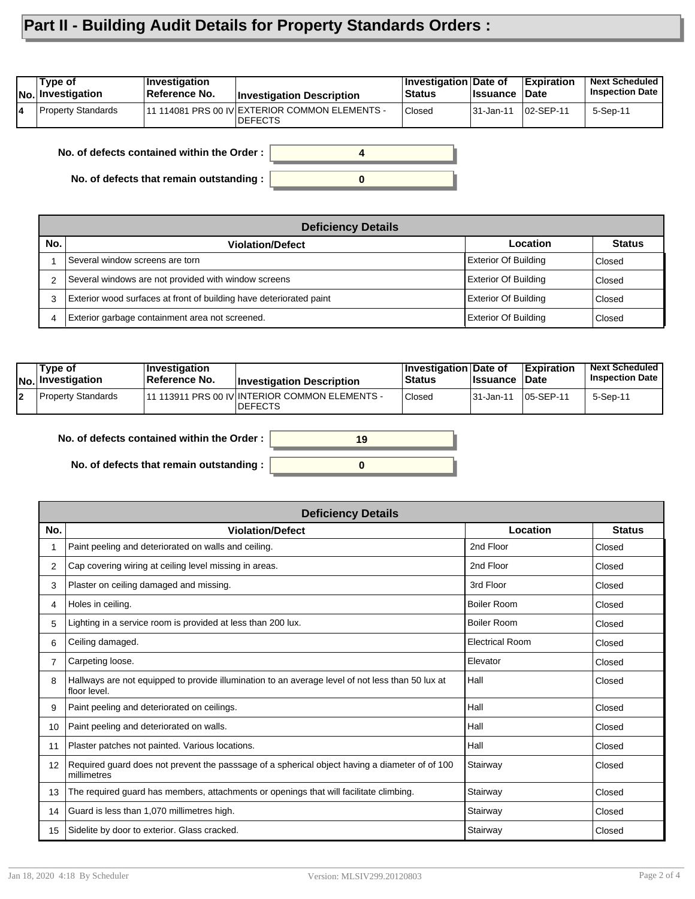## **Part II - Building Audit Details for Property Standards Orders :**

| 11 114081 PRS 00 IV  EXTERIOR COMMON ELEMENTS -<br>Property Standards<br>Closed<br>02-SEP-11<br>5-Sep-11<br> 31-Jan-11<br>14 | Type of<br>No. Investigation | <b>Investigation</b><br>∣Reference No. | <b>Investigation Description</b> | Investigation Date of<br>Status | ∣Issuance | <b>Expiration</b><br>∣Date | <b>Next Scheduled</b><br><b>Inspection Date</b> |
|------------------------------------------------------------------------------------------------------------------------------|------------------------------|----------------------------------------|----------------------------------|---------------------------------|-----------|----------------------------|-------------------------------------------------|
|                                                                                                                              |                              |                                        | <b>DEFECTS</b>                   |                                 |           |                            |                                                 |

**No. of defects contained within the Order :**

**No. of defects that remain outstanding :**

| <b>Deficiency Details</b> |                                                                     |                             |               |  |  |  |  |
|---------------------------|---------------------------------------------------------------------|-----------------------------|---------------|--|--|--|--|
| No.                       | <b>Violation/Defect</b>                                             | Location                    | <b>Status</b> |  |  |  |  |
|                           | Several window screens are torn                                     | <b>Exterior Of Building</b> | Closed        |  |  |  |  |
|                           | Several windows are not provided with window screens                | <b>Exterior Of Building</b> | Closed        |  |  |  |  |
| 3                         | Exterior wood surfaces at front of building have deteriorated paint | <b>Exterior Of Building</b> | Closed        |  |  |  |  |
| 4                         | Exterior garbage containment area not screened.                     | <b>Exterior Of Building</b> | Closed        |  |  |  |  |

**0**

**4**

| Type of<br>No. Investigation | $\blacksquare$ Investigation<br>Reference No. | <b>Investigation Description</b>                                   | <b>∣Investigation Date of</b><br>Status | <b>Ilssuance Date</b> | <b>Expiration</b>  | <b>Next Scheduled</b><br><b>Inspection Date</b> |
|------------------------------|-----------------------------------------------|--------------------------------------------------------------------|-----------------------------------------|-----------------------|--------------------|-------------------------------------------------|
| Property Standards           |                                               | 111 113911 PRS 00 IV INTERIOR COMMON ELEMENTS -<br><b>IDEFECTS</b> | Closed                                  | 31-Jan-11             | $\sqrt{05-SEP-11}$ | 5-Sep-11                                        |

**No. of defects contained within the Order :**

**No. of defects that remain outstanding :**

| 19 |  |
|----|--|
|    |  |
|    |  |
|    |  |

|                   | <b>Deficiency Details</b>                                                                                        |                    |               |  |  |  |
|-------------------|------------------------------------------------------------------------------------------------------------------|--------------------|---------------|--|--|--|
| No.               | <b>Violation/Defect</b>                                                                                          | Location           | <b>Status</b> |  |  |  |
|                   | Paint peeling and deteriorated on walls and ceiling.                                                             | 2nd Floor          | Closed        |  |  |  |
| 2                 | Cap covering wiring at ceiling level missing in areas.                                                           | 2nd Floor          | Closed        |  |  |  |
| 3                 | Plaster on ceiling damaged and missing.                                                                          | 3rd Floor          | Closed        |  |  |  |
| 4                 | Holes in ceiling.                                                                                                | <b>Boiler Room</b> | Closed        |  |  |  |
| 5                 | Lighting in a service room is provided at less than 200 lux.                                                     | <b>Boiler Room</b> | Closed        |  |  |  |
| 6                 | Ceiling damaged.                                                                                                 | Electrical Room    | Closed        |  |  |  |
|                   | Carpeting loose.                                                                                                 | Elevator           | Closed        |  |  |  |
| 8                 | Hallways are not equipped to provide illumination to an average level of not less than 50 lux at<br>floor level. | Hall               | Closed        |  |  |  |
| 9                 | Paint peeling and deteriorated on ceilings.                                                                      | Hall               | Closed        |  |  |  |
| 10                | Paint peeling and deteriorated on walls.                                                                         | Hall               | Closed        |  |  |  |
| 11                | Plaster patches not painted. Various locations.                                                                  | Hall               | Closed        |  |  |  |
| $12 \overline{ }$ | Required guard does not prevent the passsage of a spherical object having a diameter of of 100<br>millimetres    | Stairway           | Closed        |  |  |  |
| 13                | The required guard has members, attachments or openings that will facilitate climbing.                           | Stairway           | Closed        |  |  |  |
| 14                | Guard is less than 1,070 millimetres high.                                                                       | Stairway           | Closed        |  |  |  |
| 15                | Sidelite by door to exterior. Glass cracked.                                                                     | Stairway           | Closed        |  |  |  |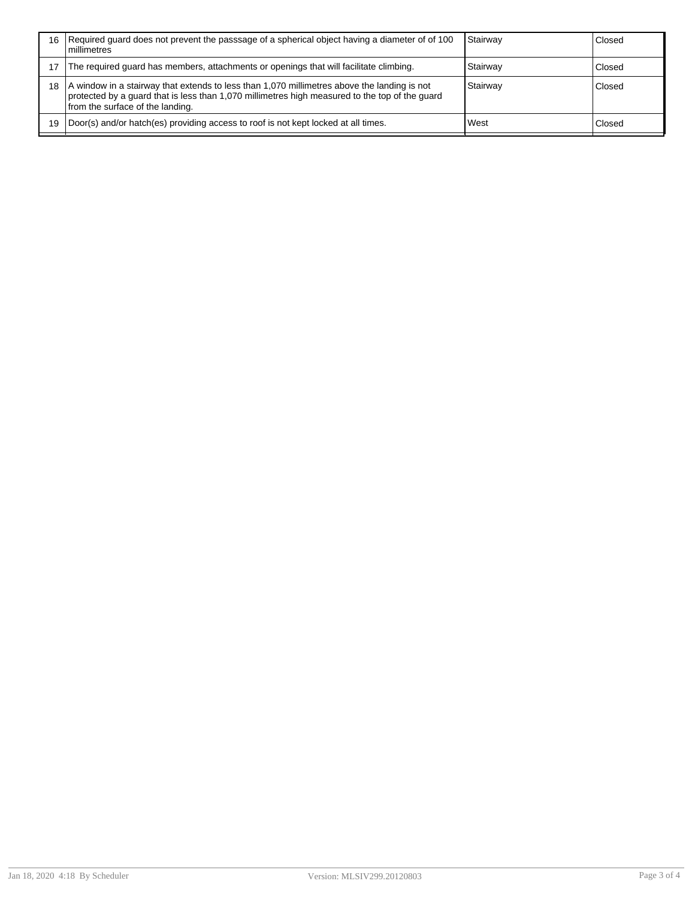| 16 | Required guard does not prevent the passsage of a spherical object having a diameter of of 100<br>l millimetres                                                                                                                   | Stairway | Closed |
|----|-----------------------------------------------------------------------------------------------------------------------------------------------------------------------------------------------------------------------------------|----------|--------|
|    | The required guard has members, attachments or openings that will facilitate climbing.                                                                                                                                            | Stairwav | Closed |
| 18 | A window in a stairway that extends to less than 1,070 millimetres above the landing is not<br>protected by a guard that is less than 1,070 millimetres high measured to the top of the guard<br>from the surface of the landing. | Stairway | Closed |
| 19 | Door(s) and/or hatch(es) providing access to roof is not kept locked at all times.                                                                                                                                                | West     | Closed |